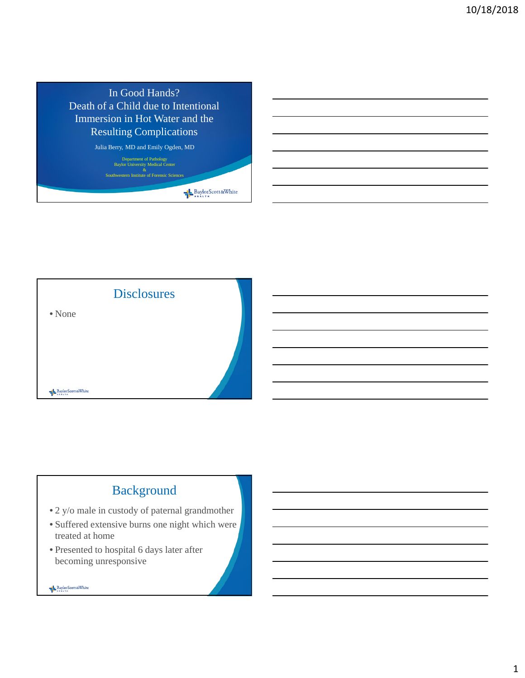



# Background

- 2 y/o male in custody of paternal grandmother
- Suffered extensive burns one night which were treated at home
- Presented to hospital 6 days later after becoming unresponsive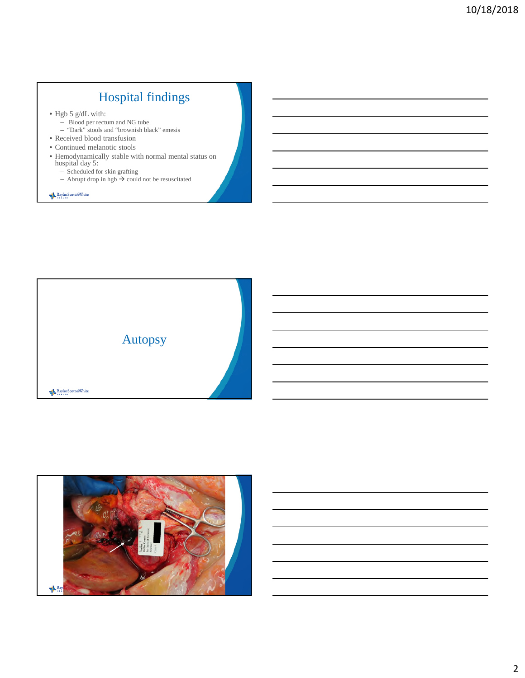# Hospital findings

- Hgb 5 g/dL with:
	- Blood per rectum and NG tube
	- "Dark" stools and "brownish black" emesis
- Received blood transfusion
- Continued melanotic stools
- Hemodynamically stable with normal mental status on hospital day 5:
	- Scheduled for skin grafting
	- Abrupt drop in hgb  $\rightarrow$  could not be resuscitated



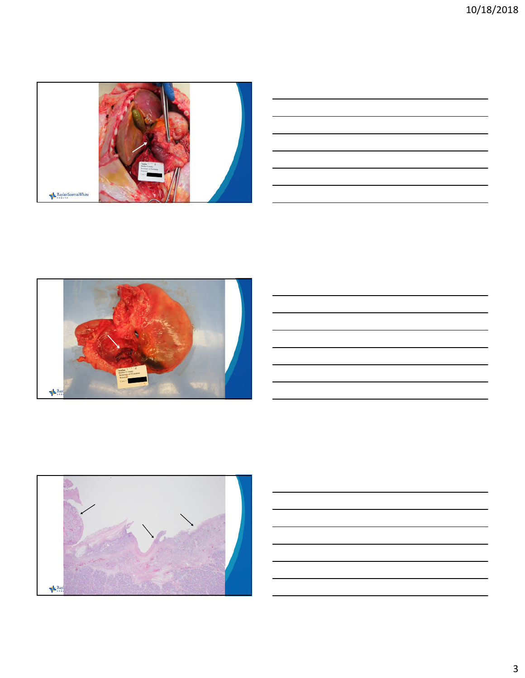

| the contract of the contract of the contract of the contract of the contract of                                                                                                                                                      |  |        |
|--------------------------------------------------------------------------------------------------------------------------------------------------------------------------------------------------------------------------------------|--|--------|
|                                                                                                                                                                                                                                      |  |        |
|                                                                                                                                                                                                                                      |  | ______ |
| <u> Album and the control of the control of the control of the control of the control of the control of the control of the control of the control of the control of the control of the control of the control of the control of </u> |  |        |
|                                                                                                                                                                                                                                      |  |        |
|                                                                                                                                                                                                                                      |  |        |
| the contract of the contract of the contract of the contract of the contract of the contract of the contract of                                                                                                                      |  |        |
|                                                                                                                                                                                                                                      |  |        |
|                                                                                                                                                                                                                                      |  |        |
|                                                                                                                                                                                                                                      |  |        |







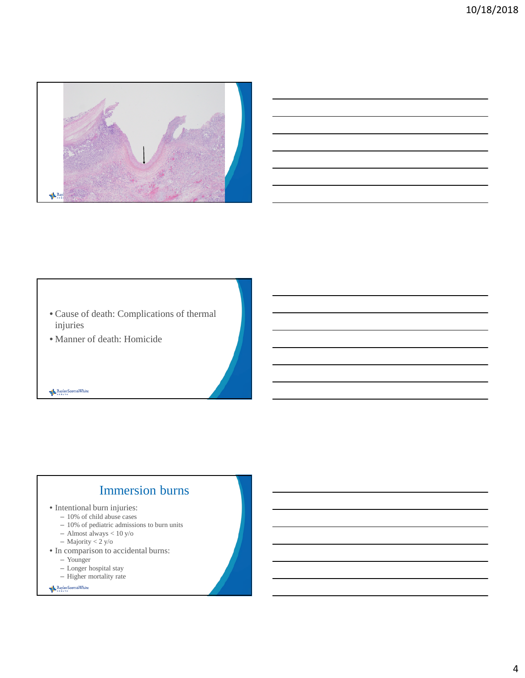

| <u> 1989 - Andrea Andrea Andrea Andrea Andrea Andrea Andrea Andrea Andrea Andrea Andrea Andrea Andrea Andrea And</u>   |  |  |
|------------------------------------------------------------------------------------------------------------------------|--|--|
| <u> 1989 - Johann Stoff, deutscher Stoffen und der Stoffen und der Stoffen und der Stoffen und der Stoffen und der</u> |  |  |
| <u> 1989 - Johann Stoff, deutscher Stoffen und der Stoffen und der Stoffen und der Stoffen und der Stoffen und de</u>  |  |  |
| <u> 1989 - Johann Stoff, deutscher Stoff, der Stoff, der Stoff, der Stoff, der Stoff, der Stoff, der Stoff, der S</u>  |  |  |
| <u> 1989 - Johann Stoff, deutscher Stoff, der Stoff, der Stoff, der Stoff, der Stoff, der Stoff, der Stoff, der S</u>  |  |  |
| <u> 1989 - Johann Stoff, deutscher Stoffen und der Stoffen und der Stoffen und der Stoffen und der Stoffen und der</u> |  |  |
|                                                                                                                        |  |  |

L.

- Cause of death: Complications of thermal injuries
- Manner of death: Homicide

BaylorScott&White

# Immersion burns

- Intentional burn injuries:
	- 10% of child abuse cases
	- 10% of pediatric admissions to burn units
	- Almost always < 10 y/o
	- Majority < 2 y/o
- In comparison to accidental burns:
	- Younger
	- Longer hospital stay
	- Higher mortality rate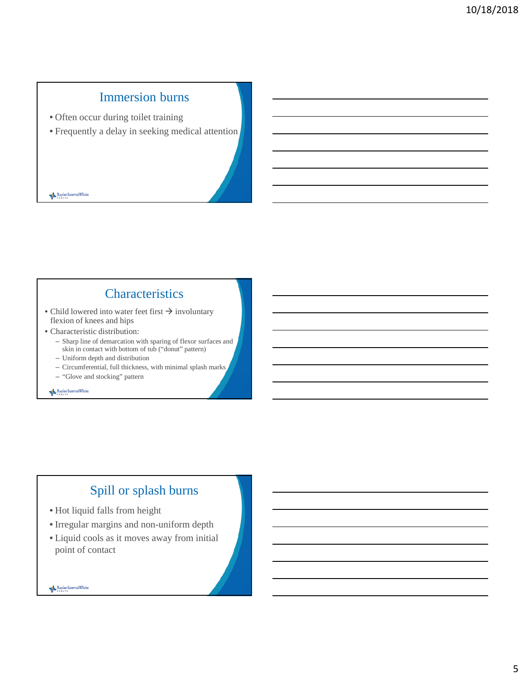### Immersion burns

- Often occur during toilet training
- Frequently a delay in seeking medical attention

BaylorScott&White

# **Characteristics**

- Child lowered into water feet first  $\rightarrow$  involuntary flexion of knees and hips
- Characteristic distribution:
	- Sharp line of demarcation with sparing of flexor surfaces and skin in contact with bottom of tub ("donut" pattern)
	- Uniform depth and distribution
	- Circumferential, full thickness, with minimal splash marks
	- "Glove and stocking" pattern

BaylorScott&White

### Spill or splash burns

- Hot liquid falls from height
- Irregular margins and non-uniform depth
- Liquid cools as it moves away from initial point of contact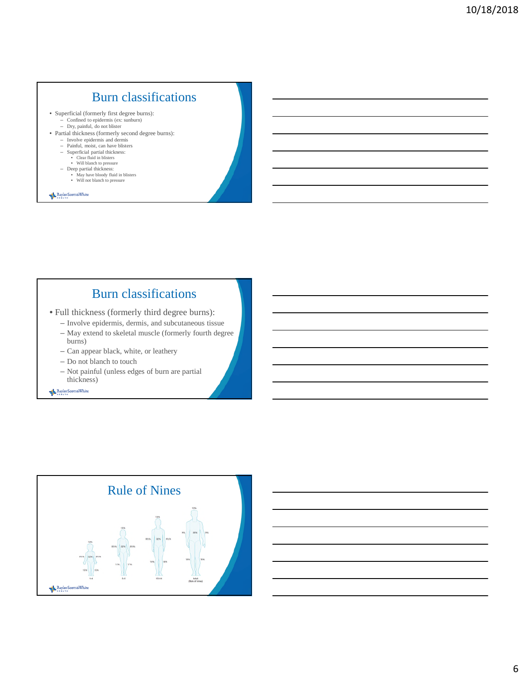# Burn classifications

- Superficial (formerly first degree burns): Confined to epidermis (ex: sunburn) – Dry, painful, do not blister
- Partial thickness (formerly second degree burns): – Involve epidermis and dermis
	-
	- Painful, moist, can have blisters Superficial partial thickness: Clear fluid in blisters Will blanch to pressure
		-
		-
	- Deep partial thickness: May have bloody fluid in blisters Will not blanch to pressure

BaylorScott&White

### Burn classifications

• Full thickness (formerly third degree burns):

- Involve epidermis, dermis, and subcutaneous tissue – May extend to skeletal muscle (formerly fourth degree
- burns)
- Can appear black, white, or leathery
- Do not blanch to touch
- Not painful (unless edges of burn are partial thickness)

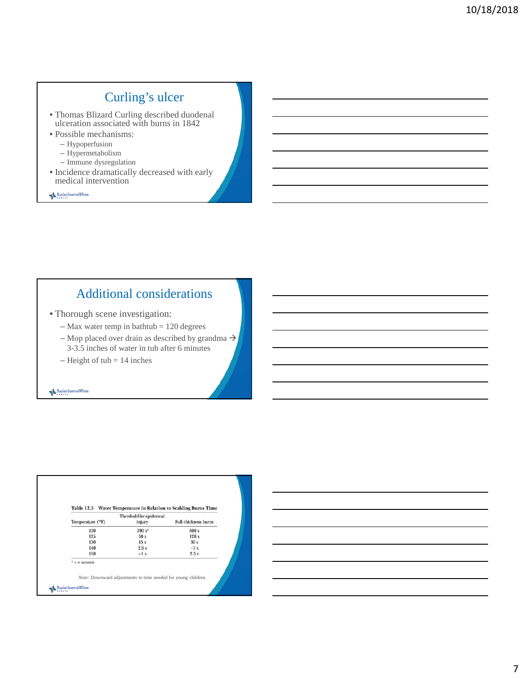# Curling's ulcer

- Thomas Blizard Curling described duodenal ulceration associated with burns in 1842
- Possible mechanisms:
	- Hypoperfusion
	- Hypermetabolism
	- Immune dysregulation
- Incidence dramatically decreased with early medical intervention

BaylorScott&White

### Additional considerations

- Thorough scene investigation:
	- $-$  Max water temp in bathtub  $= 120$  degrees
	- Mop placed over drain as described by grandma  $\rightarrow$ 3-3.5 inches of water in tub after 6 minutes
	- $-$  Height of tub  $= 14$  inches

| Temperature ("F) | Threshold for epidermal<br>injury | <b>Full-thickness burns</b> |
|------------------|-----------------------------------|-----------------------------|
| 120              | $290 s*$                          | 600 s                       |
| 125              | 50s                               | 120s                        |
| 130              | 15 <sub>s</sub>                   | 30 <sub>s</sub>             |
| 140              | 2.6s                              | $-7s$                       |
| 150              | $<1$ s                            | 2.3s                        |